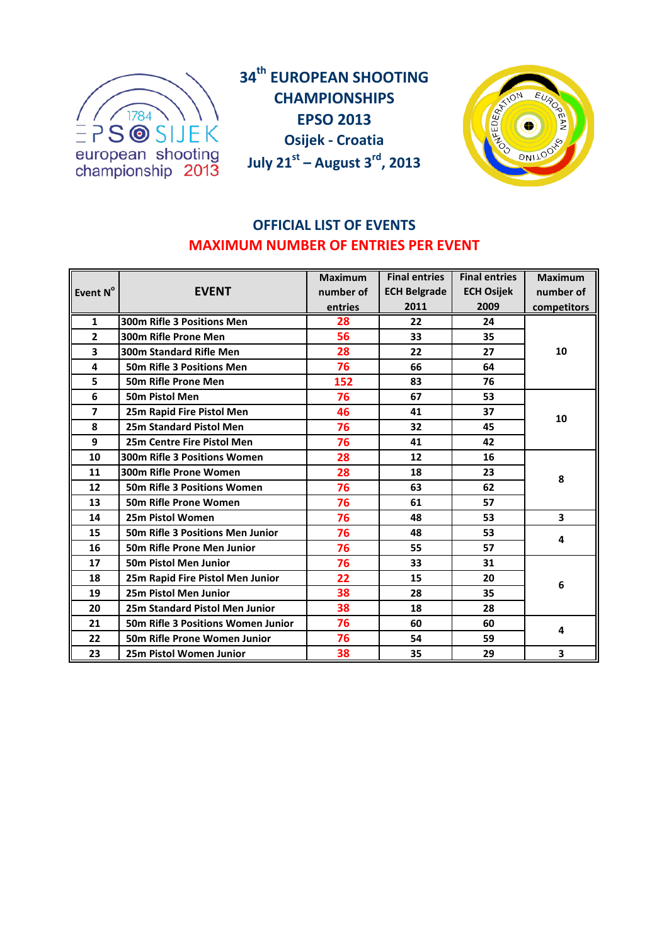

**34th EUROPEAN SHOOTING CHAMPIONSHIPS EPSO 2013 Osijek - Croatia July 21st – August 3rd, 2013**



# **OFFICIAL LIST OF EVENTS MAXIMUM NUMBER OF ENTRIES PER EVENT**

|                         |                                           | <b>Maximum</b> | <b>Final entries</b> | <b>Final entries</b> | <b>Maximum</b> |
|-------------------------|-------------------------------------------|----------------|----------------------|----------------------|----------------|
| Event N°                | <b>EVENT</b>                              | number of      | <b>ECH Belgrade</b>  | <b>ECH Osijek</b>    | number of      |
|                         |                                           | entries        | 2011                 | 2009                 | competitors    |
| $\mathbf{1}$            | 300m Rifle 3 Positions Men                | 28             | 22                   | 24                   |                |
| $\overline{2}$          | 300m Rifle Prone Men                      | 56             | 33                   | 35                   |                |
| 3                       | <b>300m Standard Rifle Men</b>            | 28             | 22                   | 27                   | 10             |
| 4                       | 50m Rifle 3 Positions Men                 | 76             | 66                   | 64                   |                |
| 5                       | 50m Rifle Prone Men                       | 152            | 83                   | 76                   |                |
| 6                       | <b>50m Pistol Men</b>                     | 76             | 67                   | 53                   |                |
| $\overline{\mathbf{z}}$ | 25m Rapid Fire Pistol Men                 | 46             | 41                   | 37                   | 10             |
| 8                       | <b>25m Standard Pistol Men</b>            | 76             | 32                   | 45                   |                |
| 9                       | 25m Centre Fire Pistol Men                | 76             | 41                   | 42                   |                |
| 10                      | <b>300m Rifle 3 Positions Women</b>       | 28             | 12                   | 16                   |                |
| 11                      | 300m Rifle Prone Women                    | 28             | 18                   | 23                   | 8              |
| 12                      | 50m Rifle 3 Positions Women               | 76             | 63                   | 62                   |                |
| 13                      | 50m Rifle Prone Women                     | 76             | 61                   | 57                   |                |
| 14                      | 25m Pistol Women                          | 76             | 48                   | 53                   | 3              |
| 15                      | <b>50m Rifle 3 Positions Men Junior</b>   | 76             | 48                   | 53                   | 4              |
| 16                      | <b>50m Rifle Prone Men Junior</b>         | 76             | 55                   | 57                   |                |
| 17                      | <b>50m Pistol Men Junior</b>              | 76             | 33                   | 31                   |                |
| 18                      | 25m Rapid Fire Pistol Men Junior          | 22             | 15                   | 20                   |                |
| 19                      | 25m Pistol Men Junior                     | 38             | 28                   | 35                   | 6              |
| 20                      | <b>25m Standard Pistol Men Junior</b>     | 38             | 18                   | 28                   |                |
| 21                      | <b>50m Rifle 3 Positions Women Junior</b> | 76             | 60                   | 60                   | 4              |
| 22                      | 50m Rifle Prone Women Junior              | 76             | 54                   | 59                   |                |
| 23                      | <b>25m Pistol Women Junior</b>            | 38             | 35                   | 29                   | 3              |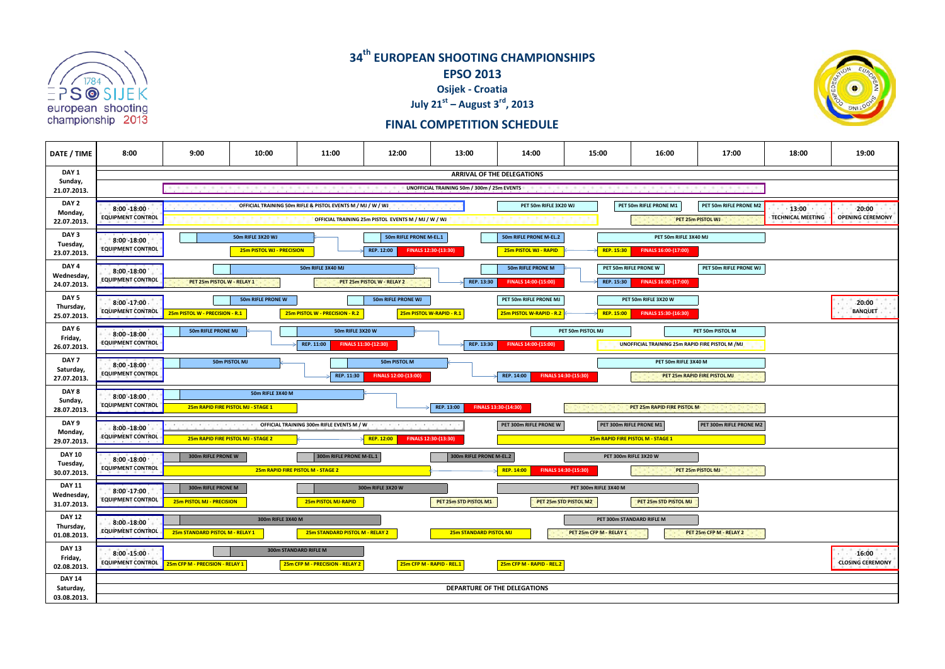

## **34th EUROPEAN SHOOTING CHAMPIONSHIPS EPSO 2013 Osijek - Croatia July 21st – August 3rd, 2013**



### **FINAL COMPETITION SCHEDULE**

| DATE / TIME                | 8:00                                                                                                                                                              | 9:00                                                                                                 | 10:00                                            | 11:00                                                       | 12:00                              | 13:00                                       | 14:00                              | 15:00                   | 16:00                                            | 17:00                        | 18:00 | 19:00                   |
|----------------------------|-------------------------------------------------------------------------------------------------------------------------------------------------------------------|------------------------------------------------------------------------------------------------------|--------------------------------------------------|-------------------------------------------------------------|------------------------------------|---------------------------------------------|------------------------------------|-------------------------|--------------------------------------------------|------------------------------|-------|-------------------------|
| DAY 1<br>Sunday,           | ARRIVAL OF THE DELEGATIONS                                                                                                                                        |                                                                                                      |                                                  |                                                             |                                    |                                             |                                    |                         |                                                  |                              |       |                         |
| 21.07.2013.                |                                                                                                                                                                   |                                                                                                      |                                                  |                                                             |                                    | UNOFFICIAL TRAINING 50m / 300m / 25m EVENTS |                                    |                         |                                                  |                              |       |                         |
| DAY 2                      | $8:00 - 18:00$                                                                                                                                                    |                                                                                                      |                                                  | OFFICIAL TRAINING 50m RIFLE & PISTOL EVENTS M / MJ / W / WJ |                                    |                                             | PET 50m RIFLE 3X20 WJ              |                         | PET 50m RIFLE PRONE M1                           | PET 50m RIFLE PRONE M2       | 13:00 | $-20:00$                |
| Monday,<br>22.07.2013.     | <b>EQUIPMENT CONTROL</b>                                                                                                                                          | <b>TECHNICAL MEETING</b><br>OFFICIAL TRAINING 25m PISTOL EVENTS M / MJ / W / WJ<br>PET 25m PISTOL WJ |                                                  |                                                             |                                    |                                             |                                    |                         |                                                  |                              |       | <b>OPENING CEREMONY</b> |
| DAY 3                      | 8:00 -18:00                                                                                                                                                       |                                                                                                      | 50m RIFLE 3X20 WJ                                |                                                             | 50m RIFLE PRONE M-EL.1             |                                             | 50m RIFLE PRONE M-EL.2             |                         | PET 50m RIFLE 3X40 MJ                            |                              |       |                         |
| Tuesday,<br>23.07.2013.    | <b>EQUIPMENT CONTROL</b><br>REP. 12:00<br>FINALS 16:00-(17:00)<br>25m PISTOL WJ - PRECISION<br>FINALS 12:30-(13:30)<br>25m PISTOL WJ - RAPID<br><b>REP. 15:30</b> |                                                                                                      |                                                  |                                                             |                                    |                                             |                                    |                         |                                                  |                              |       |                         |
| DAY 4                      | $8:00 - 18:00$                                                                                                                                                    |                                                                                                      |                                                  | 50m RIFLE 3X40 MJ                                           |                                    |                                             | 50m RIFLE PRONE M                  |                         | PET 50m RIFLE PRONE W                            | PET 50m RIFLE PRONE WJ       |       |                         |
| Wednesday,<br>24.07.2013.  | <b>EQUIPMENT CONTROL</b>                                                                                                                                          | PET 25m PISTOL W - RELAY 1                                                                           |                                                  |                                                             | PET 25m PISTOL W - RELAY 2         | REP. 13:30                                  | FINALS 14:00-(15:00)               | REP. 15:30              | FINALS 16:00-(17:00)                             |                              |       |                         |
| DAY <sub>5</sub>           | $8:00 - 17:00$                                                                                                                                                    |                                                                                                      | 50m RIFLE PRONE W                                |                                                             | 50m RIFLE PRONE WJ                 |                                             | PET 50m RIFLE PRONE MJ             |                         | PET 50m RIFLE 3X20 W                             |                              |       | $-20:00$                |
| Thursday,<br>25.07.2013.   | <b>EQUIPMENT CONTROL</b>                                                                                                                                          | 25m PISTOL W - PRECISION - R.1                                                                       |                                                  | 25m PISTOL W - PRECISION - R.2                              | 25m PISTOL W-RAPID - R.1           |                                             | 25m PISTOL W-RAPID - R.2           | <b>REP. 15:00</b>       | FINALS 15:30-(16:30)                             |                              |       | <b>BANQUET</b>          |
| DAY 6                      | 8:00 - 18:00                                                                                                                                                      | 50m RIFLE PRONE MJ                                                                                   |                                                  | 50m RIFLE 3X20 W                                            |                                    |                                             |                                    | PET 50m PISTOL MJ       |                                                  | PET 50m PISTOL M             |       |                         |
| Friday,<br>26.07.2013.     | <b>EQUIPMENT CONTROL</b>                                                                                                                                          |                                                                                                      |                                                  | REP. 11:00                                                  | FINALS 11:30-(12:30)               | REP. 13:30                                  | FINALS 14:00-(15:00)               |                         | UNOFFICIAL TRAINING 25m RAPID FIRE PISTOL M / MJ |                              |       |                         |
| DAY 7                      | $8:00 - 18:00$                                                                                                                                                    |                                                                                                      | 50m PISTOL MJ                                    |                                                             | 50m PISTOL M                       |                                             |                                    |                         | PET 50m RIFLE 3X40 M                             |                              |       |                         |
| Saturday,<br>27.07.2013.   | <b>EQUIPMENT CONTROL</b>                                                                                                                                          |                                                                                                      |                                                  | REP. 11:30                                                  | FINALS 12:00-(13:00)               |                                             | REP. 14:00                         | FINALS 14:30-(15:30)    |                                                  | PET 25m RAPID FIRE PISTOL MJ |       |                         |
| DAY 8                      | $8:00 - 18:00$ .                                                                                                                                                  |                                                                                                      | 50m RIFLE 3X40 M                                 |                                                             |                                    |                                             |                                    |                         |                                                  |                              |       |                         |
| Sunday,<br>28.07.2013.     | <b>EQUIPMENT CONTROL</b>                                                                                                                                          |                                                                                                      | 25m RAPID FIRE PISTOL MJ - STAGE 1               |                                                             |                                    | REP. 13:00                                  | FINALS 13:30-(14:30)               |                         | PET 25m RAPID FIRE PISTOL M                      |                              |       |                         |
| DAY 9                      | 8:00 - 18:00                                                                                                                                                      |                                                                                                      | <b>OFFICIAL TRAINING 300m RIFLE EVENTS M / W</b> |                                                             | <b>FUEL FUEL FUEL FUEL FUEL</b>    |                                             | PET 300m RIFLE PRONE W             |                         | PET 300m RIFLE PRONE M1                          | PET 300m RIFLE PRONE M2      |       |                         |
| Monday,<br>29.07.2013.     | <b>EQUIPMENT CONTROL</b>                                                                                                                                          | 25m RAPID FIRE PISTOL MJ - STAGE 2                                                                   |                                                  |                                                             | REP. 12:00<br>FINALS 12:30-(13:30) |                                             |                                    |                         | 25m RAPID FIRE PISTOL M - STAGE 1                |                              |       |                         |
| <b>DAY 10</b>              | $8:00 - 18:00$                                                                                                                                                    | 300m RIFLE PRONE W                                                                                   |                                                  | 300m RIFLE PRONE M-EL.1                                     |                                    | 300m RIFLE PRONE M-EL.2                     |                                    |                         | PET 300m RIFLE 3X20 W                            |                              |       |                         |
| Tuesday,<br>30.07.2013.    | <b>EQUIPMENT CONTROL</b>                                                                                                                                          |                                                                                                      |                                                  | 25m RAPID FIRE PISTOL M - STAGE 2                           |                                    |                                             | REP. 14:00<br>FINALS 14:30-(15:30) |                         |                                                  | PET 25m PISTOL MJ            |       |                         |
| <b>DAY 11</b>              | 8:00 - 17:00                                                                                                                                                      | 300m RIFLE PRONE M                                                                                   |                                                  |                                                             | 300m RIFLE 3X20 W                  |                                             |                                    | PET 300m RIFLE 3X40 M   |                                                  |                              |       |                         |
| Wednesday,<br>31.07.2013.  | <b>EQUIPMENT CONTROL</b>                                                                                                                                          | 25m PISTOL MJ - PRECISION                                                                            |                                                  | 25m PISTOL MJ-RAPID                                         |                                    | PET 25m STD PISTOL M1                       |                                    | PET 25m STD PISTOL M2   | PET 25m STD PISTOL MJ                            |                              |       |                         |
| <b>DAY 12</b>              | 8:00 -18:00                                                                                                                                                       |                                                                                                      | 300m RIFLE 3X40 M                                |                                                             |                                    |                                             |                                    |                         | PET 300m STANDARD RIFLE M                        |                              |       |                         |
| Thursday,<br>01.08.2013.   | <b>EQUIPMENT CONTROL</b>                                                                                                                                          | 25m STANDARD PISTOL M - RELAY 1                                                                      |                                                  | 25m STANDARD PISTOL M - RELAY 2                             |                                    | 25m STANDARD PISTOL MJ                      |                                    | PET 25m CFP M - RELAY 1 |                                                  | PET 25m CFP M - RELAY 2      |       |                         |
| <b>DAY 13</b>              | $8:00 - 15:00 -$                                                                                                                                                  |                                                                                                      |                                                  | 300m STANDARD RIFLE M                                       |                                    |                                             |                                    |                         |                                                  |                              |       | $-16:00$                |
| Friday,<br>02.08.2013.     | <b>EQUIPMENT CONTROL</b>                                                                                                                                          | 25m CFP M - PRECISION - RELAY 1                                                                      |                                                  | 25m CFP M - PRECISION - RELAY 2                             |                                    | 25m CFP M - RAPID - REL.1                   | 25m CFP M - RAPID - REL.2          |                         |                                                  |                              |       | <b>CLOSING CEREMONY</b> |
| <b>DAY 14</b><br>Saturday, |                                                                                                                                                                   |                                                                                                      |                                                  |                                                             |                                    |                                             | DEPARTURE OF THE DELEGATIONS       |                         |                                                  |                              |       |                         |
| 03.08.2013.                |                                                                                                                                                                   |                                                                                                      |                                                  |                                                             |                                    |                                             |                                    |                         |                                                  |                              |       |                         |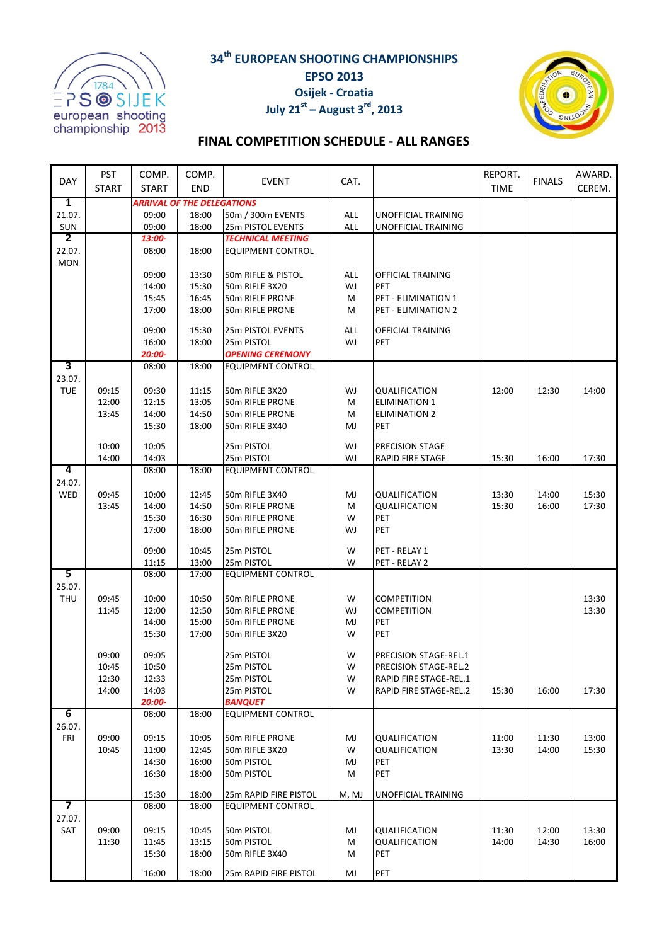**34th EUROPEAN SHOOTING CHAMPIONSHIPS EPSO 2013**



# **Osijek - Croatia July 21**<sup>st</sup> – August  $3^{rd}$ , 2013



## **FINAL COMPETITION SCHEDULE - ALL RANGES**

|                          | <b>PST</b>   | COMP.          | COMP.                             |                                 |           |                                 | REPORT.        |                | AWARD.         |
|--------------------------|--------------|----------------|-----------------------------------|---------------------------------|-----------|---------------------------------|----------------|----------------|----------------|
| DAY                      | <b>START</b> | <b>START</b>   | <b>END</b>                        | <b>EVENT</b>                    | CAT.      |                                 | <b>TIME</b>    | <b>FINALS</b>  | CEREM.         |
| 1                        |              |                | <b>ARRIVAL OF THE DELEGATIONS</b> |                                 |           |                                 |                |                |                |
| 21.07.                   |              | 09:00          | 18:00                             | 50m / 300m EVENTS               | ALL       | UNOFFICIAL TRAINING             |                |                |                |
| SUN                      |              | 09:00          | 18:00                             | 25m PISTOL EVENTS               | ALL       | UNOFFICIAL TRAINING             |                |                |                |
| $\overline{2}$           |              | 13:00-         |                                   | <b>TECHNICAL MEETING</b>        |           |                                 |                |                |                |
| 22.07.<br><b>MON</b>     |              | 08:00          | 18:00                             | <b>EQUIPMENT CONTROL</b>        |           |                                 |                |                |                |
|                          |              | 09:00          | 13:30                             | 50m RIFLE & PISTOL              | ALL       | OFFICIAL TRAINING               |                |                |                |
|                          |              | 14:00          | 15:30                             | 50m RIFLE 3X20                  | WJ        | PET                             |                |                |                |
|                          |              | 15:45          | 16:45                             | 50m RIFLE PRONE                 | М         | PET - ELIMINATION 1             |                |                |                |
|                          |              | 17:00          | 18:00                             | 50m RIFLE PRONE                 | M         | PET - ELIMINATION 2             |                |                |                |
|                          |              |                |                                   |                                 |           |                                 |                |                |                |
|                          |              | 09:00<br>16:00 | 15:30<br>18:00                    | 25m PISTOL EVENTS<br>25m PISTOL | ALL<br>WJ | OFFICIAL TRAINING<br><b>PET</b> |                |                |                |
|                          |              | 20:00-         |                                   | <b>OPENING CEREMONY</b>         |           |                                 |                |                |                |
| 3                        |              | 08:00          | 18:00                             | <b>EQUIPMENT CONTROL</b>        |           |                                 |                |                |                |
| 23.07.                   |              |                |                                   |                                 |           |                                 |                |                |                |
| <b>TUE</b>               | 09:15        | 09:30          | 11:15                             | 50m RIFLE 3X20                  | WJ        | QUALIFICATION                   | 12:00          | 12:30          | 14:00          |
|                          | 12:00        | 12:15          | 13:05                             | 50m RIFLE PRONE                 | М         | <b>ELIMINATION 1</b>            |                |                |                |
|                          | 13:45        | 14:00          | 14:50                             | 50m RIFLE PRONE                 | М         | <b>ELIMINATION 2</b>            |                |                |                |
|                          |              | 15:30          | 18:00                             | 50m RIFLE 3X40                  | MJ        | PET                             |                |                |                |
|                          | 10:00        | 10:05          |                                   | 25m PISTOL                      | WJ        | <b>PRECISION STAGE</b>          |                |                |                |
|                          | 14:00        | 14:03          |                                   | 25m PISTOL                      | WJ        | <b>RAPID FIRE STAGE</b>         | 15:30          | 16:00          | 17:30          |
| 4                        |              | 08:00          | 18:00                             | <b>EQUIPMENT CONTROL</b>        |           |                                 |                |                |                |
| 24.07.                   |              |                |                                   |                                 |           |                                 |                |                |                |
| WED                      | 09:45        | 10:00          | 12:45                             | 50m RIFLE 3X40                  | MJ        | <b>QUALIFICATION</b>            | 13:30          | 14:00          | 15:30          |
|                          | 13:45        | 14:00          | 14:50                             | 50m RIFLE PRONE                 | M         | QUALIFICATION                   | 15:30          | 16:00          | 17:30          |
|                          |              | 15:30          | 16:30                             | 50m RIFLE PRONE                 | W         | <b>PET</b>                      |                |                |                |
|                          |              | 17:00          | 18:00                             | 50m RIFLE PRONE                 | WJ        | PET                             |                |                |                |
|                          |              | 09:00          | 10:45                             | 25m PISTOL                      | W         | PET - RELAY 1                   |                |                |                |
|                          |              | 11:15          | 13:00                             | 25m PISTOL                      | W         | PET - RELAY 2                   |                |                |                |
| 5                        |              | 08:00          | 17:00                             | <b>EQUIPMENT CONTROL</b>        |           |                                 |                |                |                |
| 25.07.                   |              |                |                                   |                                 |           |                                 |                |                |                |
| THU                      | 09:45        | 10:00          | 10:50                             | 50m RIFLE PRONE                 | W         | <b>COMPETITION</b>              |                |                | 13:30          |
|                          | 11:45        | 12:00          | 12:50                             | 50m RIFLE PRONE                 | WJ        | <b>COMPETITION</b>              |                |                | 13:30          |
|                          |              | 14:00          | 15:00                             | 50m RIFLE PRONE                 | MJ        | PET                             |                |                |                |
|                          |              | 15:30          | 17:00                             | 50m RIFLE 3X20                  | W         | PET                             |                |                |                |
|                          | 09:00        | 09:05          |                                   | 25m PISTOL                      | W         | <b>PRECISION STAGE-REL.1</b>    |                |                |                |
|                          | 10:45        | 10:50          |                                   | 25m PISTOL                      | W         | <b>PRECISION STAGE-REL.2</b>    |                |                |                |
|                          | 12:30        | 12:33          |                                   | 25m PISTOL                      | W         | RAPID FIRE STAGE-REL.1          |                |                |                |
|                          | 14:00        | 14:03          |                                   | 25m PISTOL                      | W         | RAPID FIRE STAGE-REL.2          | 15:30          | 16:00          | 17:30          |
|                          |              | 20:00-         |                                   | <b>BANQUET</b>                  |           |                                 |                |                |                |
| $6\overline{6}$          |              | 08:00          | 18:00                             | <b>EQUIPMENT CONTROL</b>        |           |                                 |                |                |                |
| 26.07.                   |              |                |                                   |                                 |           |                                 |                |                |                |
| FRI                      | 09:00        | 09:15          | 10:05                             | 50m RIFLE PRONE                 | MJ        | <b>QUALIFICATION</b>            | 11:00          | 11:30          | 13:00          |
|                          | 10:45        | 11:00          | 12:45                             | 50m RIFLE 3X20                  | W         | QUALIFICATION                   | 13:30          | 14:00          | 15:30          |
|                          |              | 14:30<br>16:30 | 16:00<br>18:00                    | 50m PISTOL<br>50m PISTOL        | MJ<br>М   | <b>PET</b><br><b>PET</b>        |                |                |                |
|                          |              |                |                                   |                                 |           |                                 |                |                |                |
|                          |              | 15:30          | 18:00                             | 25m RAPID FIRE PISTOL           | M, MJ     | UNOFFICIAL TRAINING             |                |                |                |
| $\overline{\phantom{a}}$ |              | 08:00          | 18:00                             | <b>EQUIPMENT CONTROL</b>        |           |                                 |                |                |                |
| 27.07.                   |              |                |                                   |                                 |           |                                 |                |                |                |
| SAT                      | 09:00        | 09:15          | 10:45<br>13:15                    | 50m PISTOL                      | MJ        | QUALIFICATION                   | 11:30<br>14:00 | 12:00<br>14:30 | 13:30<br>16:00 |
|                          | 11:30        | 11:45<br>15:30 | 18:00                             | 50m PISTOL<br>50m RIFLE 3X40    | M<br>М    | QUALIFICATION<br>PET            |                |                |                |
|                          |              |                |                                   |                                 |           |                                 |                |                |                |
|                          |              | 16:00          | 18:00                             | 25m RAPID FIRE PISTOL           | MJ        | PET                             |                |                |                |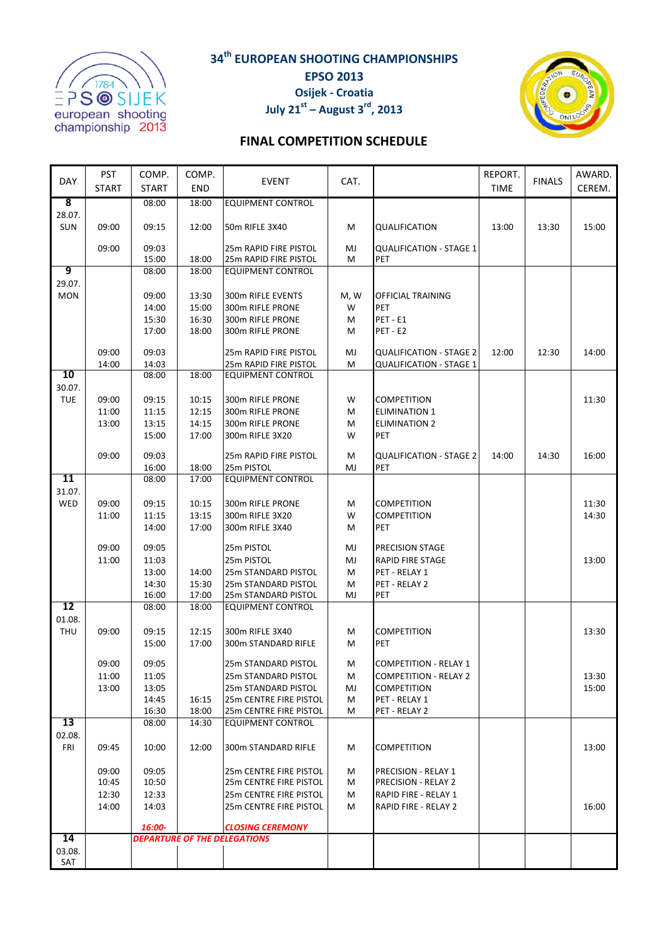

**34th EUROPEAN SHOOTING CHAMPIONSHIPS EPSO 2013**



**July 21**<sup>st</sup> – August  $3^{rd}$ , 2013



### **FINAL COMPETITION SCHEDULE**

| <b>DAY</b>              | <b>PST</b>   | COMP.          | COMP.          | <b>EVENT</b>                                                   | CAT.    |                                       | REPORT.     | <b>FINALS</b> | AWARD. |
|-------------------------|--------------|----------------|----------------|----------------------------------------------------------------|---------|---------------------------------------|-------------|---------------|--------|
|                         | <b>START</b> | <b>START</b>   | <b>END</b>     |                                                                |         |                                       | <b>TIME</b> |               | CEREM. |
| $\overline{\mathbf{8}}$ |              | 08:00          | 18:00          | <b>EQUIPMENT CONTROL</b>                                       |         |                                       |             |               |        |
| 28.07.                  |              |                |                |                                                                |         |                                       |             |               |        |
| SUN                     | 09:00        | 09:15          | 12:00          | 50m RIFLE 3X40                                                 | М       | QUALIFICATION                         | 13:00       | 13:30         | 15:00  |
|                         | 09:00        | 09:03          |                | 25m RAPID FIRE PISTOL                                          | MJ      | <b>QUALIFICATION - STAGE 1</b>        |             |               |        |
|                         |              | 15:00          | 18:00          | 25m RAPID FIRE PISTOL                                          | M       | PET                                   |             |               |        |
| 9                       |              | 08:00          | 18:00          | <b>EQUIPMENT CONTROL</b>                                       |         |                                       |             |               |        |
| 29.07.                  |              |                |                |                                                                |         |                                       |             |               |        |
| <b>MON</b>              |              | 09:00          | 13:30          | 300m RIFLE EVENTS                                              | M, W    | OFFICIAL TRAINING                     |             |               |        |
|                         |              | 14:00          | 15:00          | 300m RIFLE PRONE                                               | W       | <b>PET</b>                            |             |               |        |
|                         |              | 15:30          | 16:30          | 300m RIFLE PRONE                                               | М       | PET-E1                                |             |               |        |
|                         |              | 17:00          | 18:00          | 300m RIFLE PRONE                                               | м       | PET-E2                                |             |               |        |
|                         | 09:00        | 09:03          |                | 25m RAPID FIRE PISTOL                                          | MJ      | <b>QUALIFICATION - STAGE 2</b>        | 12:00       | 12:30         | 14:00  |
|                         | 14:00        | 14:03          |                | 25m RAPID FIRE PISTOL                                          | М       | <b>QUALIFICATION - STAGE 1</b>        |             |               |        |
| 10                      |              | 08:00          | 18:00          | <b>EQUIPMENT CONTROL</b>                                       |         |                                       |             |               |        |
| 30.07.                  |              |                |                |                                                                |         |                                       |             |               |        |
| <b>TUE</b>              | 09:00        | 09:15          | 10:15          | 300m RIFLE PRONE                                               | W       | <b>COMPETITION</b>                    |             |               | 11:30  |
|                         | 11:00        | 11:15          | 12:15          | 300m RIFLE PRONE                                               | М       | <b>ELIMINATION 1</b>                  |             |               |        |
|                         | 13:00        | 13:15          | 14:15          | 300m RIFLE PRONE                                               | м       | <b>ELIMINATION 2</b>                  |             |               |        |
|                         |              | 15:00          | 17:00          | 300m RIFLE 3X20                                                | W       | PET                                   |             |               |        |
|                         |              |                |                |                                                                |         |                                       |             |               |        |
|                         | 09:00        | 09:03<br>16:00 | 18:00          | 25m RAPID FIRE PISTOL<br>25m PISTOL                            | М<br>MJ | <b>QUALIFICATION - STAGE 2</b><br>PET | 14:00       | 14:30         | 16:00  |
| 11                      |              | 08:00          | 17:00          | <b>EQUIPMENT CONTROL</b>                                       |         |                                       |             |               |        |
| 31.07.                  |              |                |                |                                                                |         |                                       |             |               |        |
| <b>WED</b>              | 09:00        | 09:15          | 10:15          | 300m RIFLE PRONE                                               | М       | <b>COMPETITION</b>                    |             |               | 11:30  |
|                         | 11:00        | 11:15          | 13:15          | 300m RIFLE 3X20                                                | W       | <b>COMPETITION</b>                    |             |               | 14:30  |
|                         |              | 14:00          | 17:00          | 300m RIFLE 3X40                                                | м       | PET                                   |             |               |        |
|                         |              |                |                |                                                                |         |                                       |             |               |        |
|                         | 09:00        | 09:05          |                | 25m PISTOL                                                     | MJ      | <b>PRECISION STAGE</b>                |             |               |        |
|                         | 11:00        | 11:03          |                | 25m PISTOL                                                     | MJ      | <b>RAPID FIRE STAGE</b>               |             |               | 13:00  |
|                         |              | 13:00          | 14:00          | 25m STANDARD PISTOL                                            | М       | PET - RELAY 1                         |             |               |        |
|                         |              | 14:30<br>16:00 | 15:30<br>17:00 | 25m STANDARD PISTOL<br>25m STANDARD PISTOL                     | М<br>MJ | PET - RELAY 2<br>PET                  |             |               |        |
| $\overline{12}$         |              | 08:00          | 18:00          | <b>EQUIPMENT CONTROL</b>                                       |         |                                       |             |               |        |
| 01.08.                  |              |                |                |                                                                |         |                                       |             |               |        |
| <b>THU</b>              | 09:00        | 09:15          | 12:15          | 300m RIFLE 3X40                                                | М       | <b>COMPETITION</b>                    |             |               | 13:30  |
|                         |              | 15:00          | 17:00          | 300m STANDARD RIFLE                                            | м       | PET                                   |             |               |        |
|                         |              |                |                |                                                                |         |                                       |             |               |        |
|                         | 09:00        | 09:05          |                | 25m STANDARD PISTOL                                            | м       | <b>COMPETITION - RELAY 1</b>          |             |               |        |
|                         | 11:00        | 11:05          |                | 25m STANDARD PISTOL                                            | М       | <b>COMPETITION - RELAY 2</b>          |             |               | 13:30  |
|                         | 13:00        | 13:05          |                | 25m STANDARD PISTOL                                            | MJ      | <b>COMPETITION</b>                    |             |               | 15:00  |
|                         |              | 14:45<br>16:30 | 16:15<br>18:00 | 25m CENTRE FIRE PISTOL<br>25m CENTRE FIRE PISTOL               | М<br>м  | PET - RELAY 1<br>PET - RELAY 2        |             |               |        |
| 13                      |              | 08:00          | 14:30          | <b>EQUIPMENT CONTROL</b>                                       |         |                                       |             |               |        |
| 02.08.                  |              |                |                |                                                                |         |                                       |             |               |        |
| FRI                     | 09:45        | 10:00          | 12:00          | 300m STANDARD RIFLE                                            | М       | COMPETITION                           |             |               | 13:00  |
|                         |              |                |                |                                                                |         |                                       |             |               |        |
|                         | 09:00        | 09:05          |                | 25m CENTRE FIRE PISTOL                                         | М       | <b>PRECISION - RELAY 1</b>            |             |               |        |
|                         | 10:45        | 10:50          |                | 25m CENTRE FIRE PISTOL                                         | М       | <b>PRECISION - RELAY 2</b>            |             |               |        |
|                         | 12:30        | 12:33          |                | 25m CENTRE FIRE PISTOL                                         | М       | RAPID FIRE - RELAY 1                  |             |               |        |
|                         | 14:00        | 14:03          |                | 25m CENTRE FIRE PISTOL                                         | м       | RAPID FIRE - RELAY 2                  |             |               | 16:00  |
|                         |              | 16:00-         |                |                                                                |         |                                       |             |               |        |
| 14                      |              |                |                | <b>CLOSING CEREMONY</b><br><b>DEPARTURE OF THE DELEGATIONS</b> |         |                                       |             |               |        |
| 03.08.                  |              |                |                |                                                                |         |                                       |             |               |        |
| SAT                     |              |                |                |                                                                |         |                                       |             |               |        |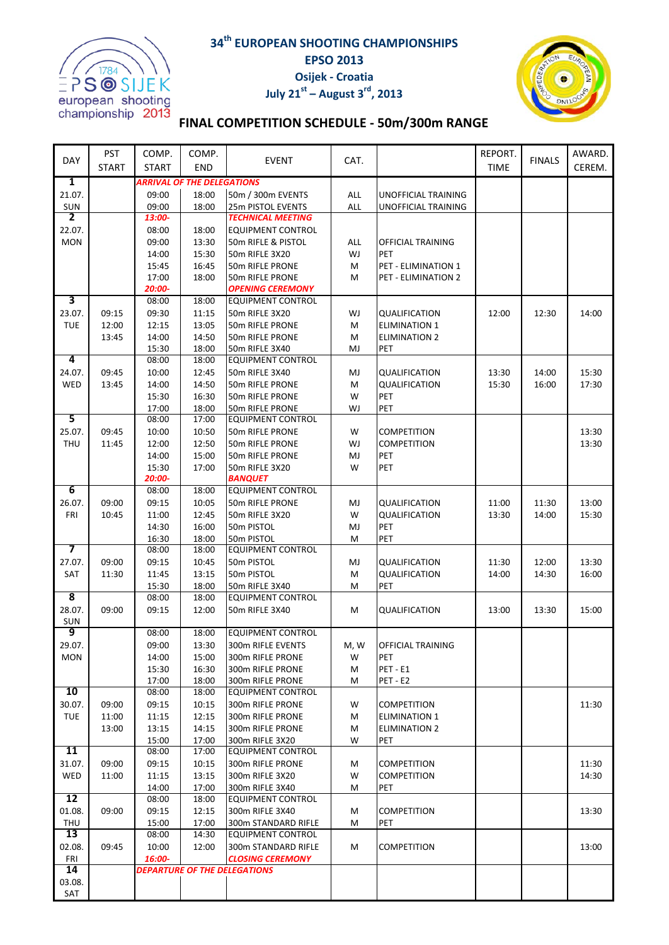

## **34th EUROPEAN SHOOTING CHAMPIONSHIPS EPSO 2013 Osijek - Croatia July 21st – August 3rd, 2013**



# **FINAL COMPETITION SCHEDULE - 50m/300m RANGE**

| <b>DAY</b>           | PST          | COMP.          | COMP.                             |                                                |            |                                              | REPORT.     | <b>FINALS</b> | AWARD. |
|----------------------|--------------|----------------|-----------------------------------|------------------------------------------------|------------|----------------------------------------------|-------------|---------------|--------|
|                      | <b>START</b> | <b>START</b>   | <b>END</b>                        | <b>EVENT</b>                                   | CAT.       |                                              | <b>TIME</b> |               | CEREM. |
| 1                    |              |                | <b>ARRIVAL OF THE DELEGATIONS</b> |                                                |            |                                              |             |               |        |
| 21.07.               |              | 09:00          | 18:00                             | 50m / 300m EVENTS                              | ALL        | UNOFFICIAL TRAINING                          |             |               |        |
| SUN                  |              | 09:00          | 18:00                             | 25m PISTOL EVENTS                              | <b>ALL</b> | <b>UNOFFICIAL TRAINING</b>                   |             |               |        |
| 2                    |              | 13:00-         |                                   | <b>TECHNICAL MEETING</b>                       |            |                                              |             |               |        |
| 22.07.<br><b>MON</b> |              | 08:00<br>09:00 | 18:00<br>13:30                    | <b>EQUIPMENT CONTROL</b><br>50m RIFLE & PISTOL | ALL        | OFFICIAL TRAINING                            |             |               |        |
|                      |              | 14:00          | 15:30                             | 50m RIFLE 3X20                                 | WJ         | <b>PET</b>                                   |             |               |        |
|                      |              | 15:45          | 16:45                             | 50m RIFLE PRONE                                | M          | <b>PET - ELIMINATION 1</b>                   |             |               |        |
|                      |              | 17:00          | 18:00                             | 50m RIFLE PRONE                                | M          | PET - ELIMINATION 2                          |             |               |        |
|                      |              | 20:00-         |                                   | <b>OPENING CEREMONY</b>                        |            |                                              |             |               |        |
| 3                    |              | 08:00          | 18:00                             | <b>EQUIPMENT CONTROL</b>                       |            |                                              |             |               |        |
| 23.07.               | 09:15        | 09:30          | 11:15                             | 50m RIFLE 3X20                                 | WJ         | QUALIFICATION                                | 12:00       | 12:30         | 14:00  |
| <b>TUE</b>           | 12:00        | 12:15          | 13:05                             | 50m RIFLE PRONE                                | M          | <b>ELIMINATION 1</b>                         |             |               |        |
|                      | 13:45        | 14:00          | 14:50                             | 50m RIFLE PRONE                                | М          | <b>ELIMINATION 2</b>                         |             |               |        |
|                      |              | 15:30          | 18:00                             | 50m RIFLE 3X40                                 | MJ         | PET                                          |             |               |        |
| 4                    |              | 08:00          | 18:00                             | <b>EQUIPMENT CONTROL</b>                       |            |                                              |             |               |        |
| 24.07.               | 09:45        | 10:00          | 12:45                             | 50m RIFLE 3X40                                 | MJ         | QUALIFICATION                                | 13:30       | 14:00         | 15:30  |
| WED                  | 13:45        | 14:00          | 14:50                             | 50m RIFLE PRONE                                | М          | QUALIFICATION                                | 15:30       | 16:00         | 17:30  |
|                      |              | 15:30<br>17:00 | 16:30<br>18:00                    | 50m RIFLE PRONE                                | W          | PET<br>PET                                   |             |               |        |
| 5                    |              | 08:00          | 17:00                             | 50m RIFLE PRONE<br><b>EQUIPMENT CONTROL</b>    | WJ         |                                              |             |               |        |
| 25.07.               | 09:45        | 10:00          | 10:50                             | 50m RIFLE PRONE                                | W          | <b>COMPETITION</b>                           |             |               | 13:30  |
| THU                  | 11:45        | 12:00          | 12:50                             | 50m RIFLE PRONE                                | WJ         | <b>COMPETITION</b>                           |             |               | 13:30  |
|                      |              | 14:00          | 15:00                             | 50m RIFLE PRONE                                | MJ         | PET                                          |             |               |        |
|                      |              | 15:30          | 17:00                             | 50m RIFLE 3X20                                 | W          | PET                                          |             |               |        |
|                      |              | 20:00-         |                                   | <b>BANQUET</b>                                 |            |                                              |             |               |        |
| 6                    |              | 08:00          | 18:00                             | <b>EQUIPMENT CONTROL</b>                       |            |                                              |             |               |        |
| 26.07.               | 09:00        | 09:15          | 10:05                             | 50m RIFLE PRONE                                | MJ         | QUALIFICATION                                | 11:00       | 11:30         | 13:00  |
| FRI                  | 10:45        | 11:00          | 12:45                             | 50m RIFLE 3X20                                 | W          | QUALIFICATION                                | 13:30       | 14:00         | 15:30  |
|                      |              | 14:30          | 16:00                             | 50m PISTOL                                     | MJ         | PET                                          |             |               |        |
|                      |              | 16:30          | 18:00                             | 50m PISTOL                                     | M          | PET                                          |             |               |        |
| 7                    |              | 08:00          | 18:00                             | <b>EQUIPMENT CONTROL</b>                       |            |                                              |             |               |        |
| 27.07.               | 09:00        | 09:15          | 10:45                             | 50m PISTOL                                     | MJ         | QUALIFICATION                                | 11:30       | 12:00         | 13:30  |
| SAT                  | 11:30        | 11:45          | 13:15                             | 50m PISTOL                                     | M          | QUALIFICATION                                | 14:00       | 14:30         | 16:00  |
| 8                    |              | 15:30<br>08:00 | 18:00<br>18:00                    | 50m RIFLE 3X40<br><b>EQUIPMENT CONTROL</b>     | M          | PET                                          |             |               |        |
| 28.07.               | 09:00        | 09:15          | 12:00                             | 50m RIFLE 3X40                                 | М          | QUALIFICATION                                | 13:00       | 13:30         | 15:00  |
| SUN                  |              |                |                                   |                                                |            |                                              |             |               |        |
| 9                    |              | 08:00          | 18:00                             | <b>EQUIPMENT CONTROL</b>                       |            |                                              |             |               |        |
| 29.07.               |              | 09:00          | 13:30                             | 300m RIFLE EVENTS                              | M, W       | OFFICIAL TRAINING                            |             |               |        |
| <b>MON</b>           |              | 14:00          | 15:00                             | 300m RIFLE PRONE                               | W          | <b>PET</b>                                   |             |               |        |
|                      |              | 15:30          | 16:30                             | 300m RIFLE PRONE                               | м          | PET-E1                                       |             |               |        |
|                      |              | 17:00          | 18:00                             | 300m RIFLE PRONE                               | м          | PET-E2                                       |             |               |        |
| 10                   |              | 08:00          | 18:00                             | EQUIPMENT CONTROL                              |            |                                              |             |               |        |
| 30.07.               | 09:00        | 09:15          | 10:15                             | 300m RIFLE PRONE<br>300m RIFLE PRONE           | W          | COMPETITION                                  |             |               | 11:30  |
| <b>TUE</b>           | 11:00        | 11:15<br>13:15 | 12:15<br>14:15                    | 300m RIFLE PRONE                               | М          | <b>ELIMINATION 1</b><br><b>ELIMINATION 2</b> |             |               |        |
|                      | 13:00        | 15:00          | 17:00                             | 300m RIFLE 3X20                                | M<br>W     | PET                                          |             |               |        |
| $\overline{11}$      |              | 08:00          | 17:00                             | <b>EQUIPMENT CONTROL</b>                       |            |                                              |             |               |        |
| 31.07.               | 09:00        | 09:15          | 10:15                             | 300m RIFLE PRONE                               | М          | <b>COMPETITION</b>                           |             |               | 11:30  |
| WED                  | 11:00        | 11:15          | 13:15                             | 300m RIFLE 3X20                                | W          | <b>COMPETITION</b>                           |             |               | 14:30  |
|                      |              | 14:00          | 17:00                             | 300m RIFLE 3X40                                | М          | PET                                          |             |               |        |
| 12                   |              | 08:00          | 18:00                             | <b>EQUIPMENT CONTROL</b>                       |            |                                              |             |               |        |
| 01.08.               | 09:00        | 09:15          | 12:15                             | 300m RIFLE 3X40                                | М          | <b>COMPETITION</b>                           |             |               | 13:30  |
| THU                  |              | 15:00          | 17:00                             | 300m STANDARD RIFLE                            | м          | PET                                          |             |               |        |
| 13                   |              | 08:00          | 14:30                             | <b>EQUIPMENT CONTROL</b>                       |            |                                              |             |               |        |
| 02.08.               | 09:45        | 10:00          | 12:00                             | 300m STANDARD RIFLE                            | М          | COMPETITION                                  |             |               | 13:00  |
| FRI<br>14            |              | 16:00-         |                                   | <b>CLOSING CEREMONY</b>                        |            |                                              |             |               |        |
| 03.08.               |              |                |                                   | <b>DEPARTURE OF THE DELEGATIONS</b>            |            |                                              |             |               |        |
| SAT                  |              |                |                                   |                                                |            |                                              |             |               |        |
|                      |              |                |                                   |                                                |            |                                              |             |               |        |